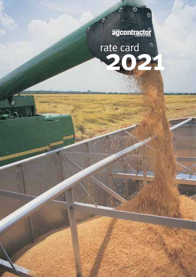# agcontractor

É

6

ate card<br>2021 rate card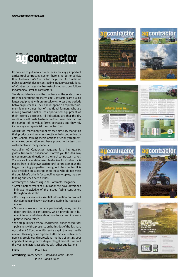

If you want to get in touch with the increasingly important agricultural contracting sector, there is no better vehicle than Australian AG Contractor magazine. As a national publication with ties to contracting industry associations, AG Contractor magazine has established a strong following among Australian contractors.

Trends worldwide show the number and the scale of contracting operations are increasing. Contractors are buying larger equipment with progressively shorter time periods between purchases. Their annual spend on capital equipment is many times that of traditional farmers, who are moving toward smaller, less specialised equipment as their incomes decrease. All indications are that the dry conditions will push Australia further down this path as the number of individual farms decreases and they rely increasingly on specialist rural contractors.

Agricultural machinery suppliers face difficulty marketing their products and services directly to their contracting clients. General farming media options offer only fragmented market penetration and have proved to be less than cost-effective in many markets.

Australian AG Contractor magazine is a high-quality, glossy, full-colour, publication. It offers you the ideal way to communicate directly with the rural contractor market. Via our exclusive database, Australian AG Contractor is mailed free to all known agricultural contractors plus the largest farming properties throughout the country. It is also available on subscription to those who do not meet the publisher's criteria for complimentary copies, thus extending our reach even further.

Advantages of advertising in AG Contractor magazine:

- After nineteen years of publication we have developed intimate knowledge of the issues facing contractors throughout Australia.
- We bring our readers essential information on product development and new machinery entering the Australian market.
- Surveys show our readers particularly enjoy our indepth profiles of contractors, which provide both human interest and ideas about how to succeed in a competitive marketplace.
- We are published by AML/AgriMedia, experienced rural publishers with a presence on both sides of the Tasman.

Australian AG Contractor fills a vital gap in the rural media market. This magazine represents the most effective, economical, credible and professional method of getting your important message across to your target market... without the wastage factors associated with other publications.

**Advertising Sales:** Steve Luxford and Jamie Gilbert Pulse – Media Sales















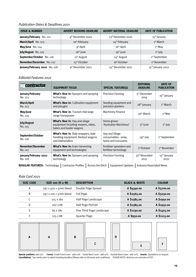## *Publication Dates & Deadlines 2021*

| <b>ISSUE &amp; NUMBER</b>     | <b>ADVERT BOOKING DEADLINE</b> | <b>ADVERT MATERIAL DEADLINE</b> | <b>DATE OF PUBLICATION</b> |
|-------------------------------|--------------------------------|---------------------------------|----------------------------|
| January/February No. 122      | 9 <sup>th</sup> December 2020  | 13 <sup>th</sup> December 2020  | 15 <sup>th</sup> January   |
| March/April No. 123           | 10 <sup>th</sup> February      | 14 <sup>th</sup> February       | 1 <sup>st</sup> March      |
| May/June $No. 124$            | 9 <sup>th</sup> April          | 16 <sup>th</sup> April          | $1st$ May                  |
| July/August No. 125           | $16th$ lune                    | 19 <sup>th</sup> June           | $1st$ July                 |
| September/October No. 126     | 11 <sup>th</sup> August        | 14 <sup>th</sup> August         | 1 <sup>st</sup> September  |
| November/December No. 127     | 13 <sup>th</sup> October       | 16 <sup>th</sup> October        | 1 <sup>st</sup> November   |
| January/February 2022 No. 128 | 9 <sup>th</sup> December 2021  | 14th December 2021              | $15th$ January 2022        |

# *Editorial Features 2021*

| <b>aucontractor</b>                 |                                                                                                 | <b>EQUIPMENT FOCUS</b> |                                                               |                          | <b>SPECIAL FEATURE(s)</b>         | <b>EDITORIAL</b><br><b>DEADLINE</b> | <b>DATE OF</b><br><b>PUBLICATION</b> |
|-------------------------------------|-------------------------------------------------------------------------------------------------|------------------------|---------------------------------------------------------------|--------------------------|-----------------------------------|-------------------------------------|--------------------------------------|
| January/February<br>No. 122         | What's New in: Sprayers and spraying<br>technology                                              |                        | <b>Precision Farming</b>                                      |                          | 3rd December<br>2019              | 15 <sup>th</sup> January            |                                      |
| <b>March/April</b><br>No. 123       | What's New in: Cultivation equipment<br>and ploughs                                             |                        | Seeding equipment and<br>precision planters                   |                          | 28 <sup>th</sup> January          | 1 <sup>st</sup> March               |                                      |
| May/June<br>No. 124                 | What's New in: Tractors mid-large<br>range horsepower                                           |                        | <b>Machinery Finance</b>                                      |                          | 30 <sup>th</sup> March            | $1st$ May                           |                                      |
| <b>July/August</b><br>No. 125       | What's New in: Hay and silage<br>equipment including mowers, rakes,<br>balers and loader wagons |                        | Home grown<br>'Australian Machinery'                          |                          | $3^{\text{rd}}$ June              | $1st$ July                          |                                      |
| September/October<br>No. 126        | What's New in: Bale wrappers, bale<br>handling equipment, feedout wagons<br>and telehandlers    |                        | Hay and Silage<br>consumables - wrap.<br>twine and inoculants |                          | $29th$ July                       | 1 <sup>st</sup> September           |                                      |
| <b>November/December</b><br>No. 127 | <b>What's New in: Grain Harvesting</b><br>equipment and technologies                            |                        | Fertiliser spreaders and<br>fertiliser technology             |                          | 1 <sup>st</sup> October           | 1 <sup>st</sup> November            |                                      |
| January/February 2022<br>No. 128    | What's New in: Sprayers and spraying<br>technology                                              |                        | <b>Precision Farming</b>                                      |                          | 30 <sup>th</sup> November<br>2021 | 15 <sup>th</sup> January<br>2022    |                                      |
| <b>REGULAR FEATURES: Technology</b> |                                                                                                 | Contractor Profiles    | Across the Ditch                                              | <b>Equipment Updates</b> |                                   | Industry Associated News            |                                      |

*Rate Card 2021*

| <b>SIZE CODE</b> | SIZE $mm(H \times W)$                     | <b>DESCRIPTION</b>        | <b>BLACK &amp; WHITE</b> | COLOUR      |
|------------------|-------------------------------------------|---------------------------|--------------------------|-------------|
|                  | 297 x 420 + 5 mm bleed Double Page Spread |                           | A 54340.00               | A \$5700.00 |
| R                | 297 x 210 + 5mm bleed Full Page           |                           | A \$2565.00              | A \$3230.00 |
|                  | 125 X 180                                 | Half Page Landscape       | A \$1585.00              | A \$1950.00 |
|                  | 267 x 88                                  | <b>Half Page Portrait</b> | A \$1585.00              | A \$1950.00 |
|                  | 85 x 180                                  | One Third Page Landscape  | A \$1230.00              | A \$1425.00 |
|                  | 125 X 88                                  | Quarter Page              | A \$950.00               | A 51115.00  |



**Special positions:** add 15% **Covers:** Inside Front Cover - add 20% Inside Back Cover - add 15% Outside Back Cover - add 20% **Inserts:** Quotations on request **Cancellations:** Two weeks prior to advert booking deadline (Please refer to full terms and conditions). PLEASE NOTE: All prices are exclusive of GST